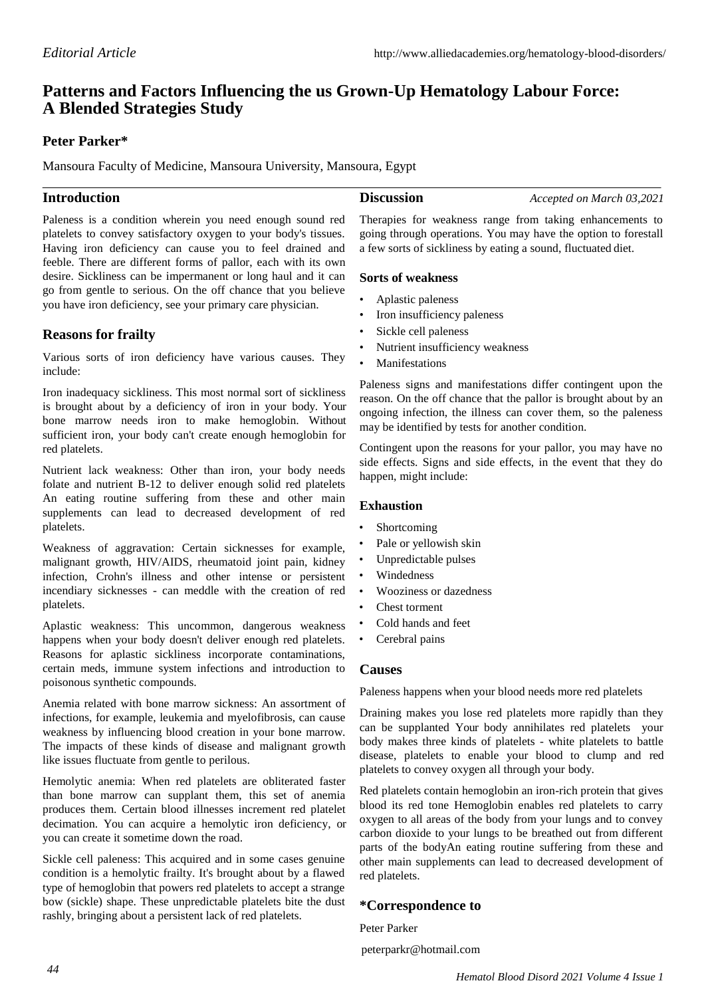# **Patterns and Factors Influencing the us Grown-Up Hematology Labour Force: A Blended Strategies Study**

# **Peter Parker\***

Mansoura Faculty of Medicine, Mansoura University, Mansoura, Egypt

## **Introduction**

**Discussion** *Accepted on March 03,2021*

Paleness is a condition wherein you need enough sound red platelets to convey satisfactory oxygen to your body's tissues. Having iron deficiency can cause you to feel drained and feeble. There are different forms of pallor, each with its own desire. Sickliness can be impermanent or long haul and it can go from gentle to serious. On the off chance that you believe you have iron deficiency, see your primary care physician.

# **Reasons for frailty**

Various sorts of iron deficiency have various causes. They include:

Iron inadequacy sickliness. This most normal sort of sickliness is brought about by a deficiency of iron in your body. Your bone marrow needs iron to make hemoglobin. Without sufficient iron, your body can't create enough hemoglobin for red platelets.

Nutrient lack weakness: Other than iron, your body needs folate and nutrient B-12 to deliver enough solid red platelets An eating routine suffering from these and other main supplements can lead to decreased development of red platelets.

Weakness of aggravation: Certain sicknesses for example, malignant growth, HIV/AIDS, rheumatoid joint pain, kidney infection, Crohn's illness and other intense or persistent incendiary sicknesses - can meddle with the creation of red platelets.

Aplastic weakness: This uncommon, dangerous weakness happens when your body doesn't deliver enough red platelets. Reasons for aplastic sickliness incorporate contaminations, certain meds, immune system infections and introduction to poisonous synthetic compounds.

Anemia related with bone marrow sickness: An assortment of infections, for example, leukemia and myelofibrosis, can cause weakness by influencing blood creation in your bone marrow. The impacts of these kinds of disease and malignant growth like issues fluctuate from gentle to perilous.

Hemolytic anemia: When red platelets are obliterated faster than bone marrow can supplant them, this set of anemia produces them. Certain blood illnesses increment red platelet decimation. You can acquire a hemolytic iron deficiency, or you can create it sometime down the road.

Sickle cell paleness: This acquired and in some cases genuine condition is a hemolytic frailty. It's brought about by a flawed type of hemoglobin that powers red platelets to accept a strange bow (sickle) shape. These unpredictable platelets bite the dust rashly, bringing about a persistent lack of red platelets.

Therapies for weakness range from taking enhancements to going through operations. You may have the option to forestall a few sorts of sickliness by eating a sound, fluctuated diet.

#### **Sorts of weakness**

- Aplastic paleness
- Iron insufficiency paleness
- Sickle cell paleness
- Nutrient insufficiency weakness
- **Manifestations**

Paleness signs and manifestations differ contingent upon the reason. On the off chance that the pallor is brought about by an ongoing infection, the illness can cover them, so the paleness may be identified by tests for another condition.

Contingent upon the reasons for your pallor, you may have no side effects. Signs and side effects, in the event that they do happen, might include:

#### **Exhaustion**

- **Shortcoming**
- Pale or yellowish skin
- Unpredictable pulses
- Windedness
- Wooziness or dazedness
- Chest torment
- Cold hands and feet
- Cerebral pains

#### **Causes**

Paleness happens when your blood needs more red platelets

Draining makes you lose red platelets more rapidly than they can be supplanted Your body annihilates red platelets your body makes three kinds of platelets - white platelets to battle disease, platelets to enable your blood to clump and red platelets to convey oxygen all through your body.

Red platelets contain hemoglobin an iron-rich protein that gives blood its red tone Hemoglobin enables red platelets to carry oxygen to all areas of the body from your lungs and to convey carbon dioxide to your lungs to be breathed out from different parts of the bodyAn eating routine suffering from these and other main supplements can lead to decreased development of red platelets.

### **\*Correspondence to**

Peter Parker peterparkr@hotmail.com